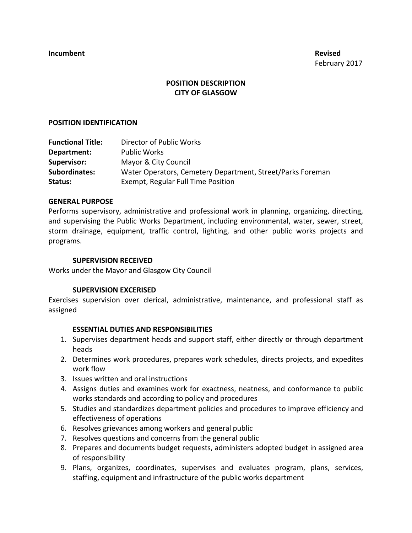# **POSITION DESCRIPTION CITY OF GLASGOW**

### **POSITION IDENTIFICATION**

| <b>Functional Title:</b> | Director of Public Works                                   |
|--------------------------|------------------------------------------------------------|
| Department:              | <b>Public Works</b>                                        |
| Supervisor:              | Mayor & City Council                                       |
| <b>Subordinates:</b>     | Water Operators, Cemetery Department, Street/Parks Foreman |
| Status:                  | Exempt, Regular Full Time Position                         |

### **GENERAL PURPOSE**

Performs supervisory, administrative and professional work in planning, organizing, directing, and supervising the Public Works Department, including environmental, water, sewer, street, storm drainage, equipment, traffic control, lighting, and other public works projects and programs.

#### **SUPERVISION RECEIVED**

Works under the Mayor and Glasgow City Council

### **SUPERVISION EXCERISED**

Exercises supervision over clerical, administrative, maintenance, and professional staff as assigned

### **ESSENTIAL DUTIES AND RESPONSIBILITIES**

- 1. Supervises department heads and support staff, either directly or through department heads
- 2. Determines work procedures, prepares work schedules, directs projects, and expedites work flow
- 3. Issues written and oral instructions
- 4. Assigns duties and examines work for exactness, neatness, and conformance to public works standards and according to policy and procedures
- 5. Studies and standardizes department policies and procedures to improve efficiency and effectiveness of operations
- 6. Resolves grievances among workers and general public
- 7. Resolves questions and concerns from the general public
- 8. Prepares and documents budget requests, administers adopted budget in assigned area of responsibility
- 9. Plans, organizes, coordinates, supervises and evaluates program, plans, services, staffing, equipment and infrastructure of the public works department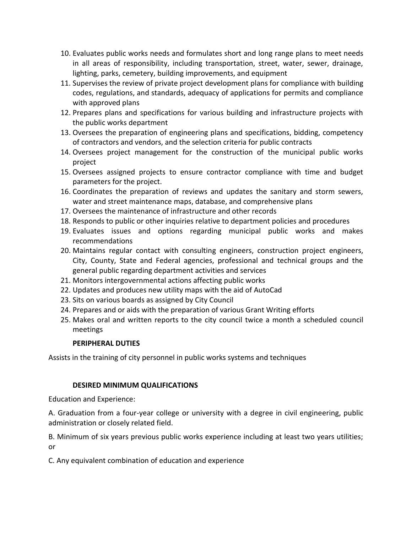- 10. Evaluates public works needs and formulates short and long range plans to meet needs in all areas of responsibility, including transportation, street, water, sewer, drainage, lighting, parks, cemetery, building improvements, and equipment
- 11. Supervises the review of private project development plans for compliance with building codes, regulations, and standards, adequacy of applications for permits and compliance with approved plans
- 12. Prepares plans and specifications for various building and infrastructure projects with the public works department
- 13. Oversees the preparation of engineering plans and specifications, bidding, competency of contractors and vendors, and the selection criteria for public contracts
- 14. Oversees project management for the construction of the municipal public works project
- 15. Oversees assigned projects to ensure contractor compliance with time and budget parameters for the project.
- 16. Coordinates the preparation of reviews and updates the sanitary and storm sewers, water and street maintenance maps, database, and comprehensive plans
- 17. Oversees the maintenance of infrastructure and other records
- 18. Responds to public or other inquiries relative to department policies and procedures
- 19. Evaluates issues and options regarding municipal public works and makes recommendations
- 20. Maintains regular contact with consulting engineers, construction project engineers, City, County, State and Federal agencies, professional and technical groups and the general public regarding department activities and services
- 21. Monitors intergovernmental actions affecting public works
- 22. Updates and produces new utility maps with the aid of AutoCad
- 23. Sits on various boards as assigned by City Council
- 24. Prepares and or aids with the preparation of various Grant Writing efforts
- 25. Makes oral and written reports to the city council twice a month a scheduled council meetings

# **PERIPHERAL DUTIES**

Assists in the training of city personnel in public works systems and techniques

# **DESIRED MINIMUM QUALIFICATIONS**

Education and Experience:

A. Graduation from a four-year college or university with a degree in civil engineering, public administration or closely related field.

B. Minimum of six years previous public works experience including at least two years utilities; or

C. Any equivalent combination of education and experience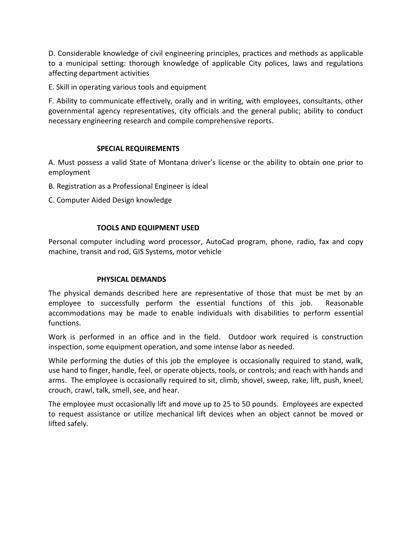D. Considerable knowledge of civil engineering principles, practices and methods as applicable to a municipal setting: thorough knowledge of applicable City polices, laws and regulations affecting department activities

E. Skill in operating various tools and equipment

F. Ability to communicate effectively, orally and in writing, with employees, consultants, other governmental agency representatives, city officials and the general public; ability to conduct necessary engineering research and compile comprehensive reports.

## **SPECIAL REQUIREMENTS**

A. Must possess a valid State of Montana driver's license or the ability to obtain one prior to employment

- B. Registration as a Professional Engineer is ideal
- C. Computer Aided Design knowledge

## **TOOLS AND EQUIPMENT USED**

Personal computer including word processor, AutoCad program, phone, radio, fax and copy machine, transit and rod, GIS Systems, motor vehicle

## **PHYSICAL DEMANDS**

The physical demands described here are representative of those that must be met by an employee to successfully perform the essential functions of this job. Reasonable accommodations may be made to enable individuals with disabilities to perform essential functions.

Work is performed in an office and in the field. Outdoor work required is construction inspection, some equipment operation, and some intense labor as needed.

While performing the duties of this job the employee is occasionally required to stand, walk, use hand to finger, handle, feel, or operate objects, tools, or controls; and reach with hands and arms. The employee is occasionally required to sit, climb, shovel, sweep, rake, lift, push, kneel, crouch, crawl, talk, smell, see, and hear.

The employee must occasionally lift and move up to 25 to 50 pounds. Employees are expected to request assistance or utilize mechanical lift devices when an object cannot be moved or lifted safely.